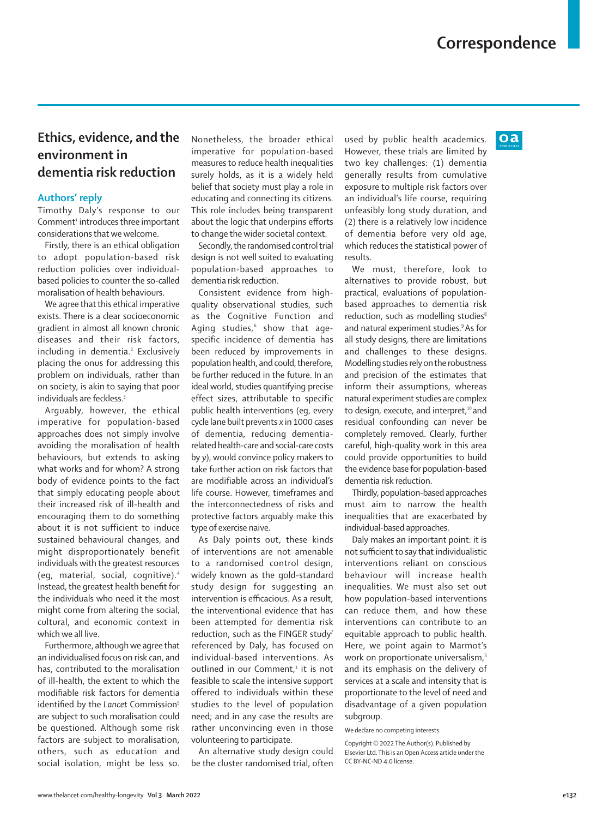## **Ethics, evidence, and the environment in dementia risk reduction**

## **Authors' reply**

Timothy Daly's response to our Comment<sup>1</sup> introduces three important considerations that we welcome.

Firstly, there is an ethical obligation to adopt population-based risk reduction policies over individualbased policies to counter the so-called moralisation of health behaviours.

We agree that this ethical imperative exists. There is a clear socioeconomic gradient in almost all known chronic diseases and their risk factors, including in dementia.<sup>2</sup> Exclusively placing the onus for addressing this problem on individuals, rather than on society, is akin to saying that poor individuals are feckless.<sup>3</sup>

Arguably, however, the ethical imperative for population-based approaches does not simply involve avoiding the moralisation of health behaviours, but extends to asking what works and for whom? A strong body of evidence points to the fact that simply educating people about their increased risk of ill-health and encouraging them to do something about it is not sufficient to induce sustained behavioural changes, and might disproportionately benefit individuals with the greatest resources (eg, material, social, cognitive).4 Instead, the greatest health benefit for the individuals who need it the most might come from altering the social, cultural, and economic context in which we all live.

Furthermore, although we agree that an individualised focus on risk can, and has, contributed to the moralisation of ill-health, the extent to which the modifiable risk factors for dementia identified by the *Lancet* Commission<sup>5</sup> are subject to such moralisation could be questioned. Although some risk factors are subject to moralisation, others, such as education and social isolation, might be less so.

Nonetheless, the broader ethical imperative for population-based measures to reduce health inequalities surely holds, as it is a widely held belief that society must play a role in educating and connecting its citizens. This role includes being transparent about the logic that underpins efforts to change the wider societal context.

Secondly, the randomised control trial design is not well suited to evaluating population-based approaches to dementia risk reduction.

Consistent evidence from highquality observational studies, such as the Cognitive Function and Aging studies,<sup>6</sup> show that agespecific incidence of dementia has been reduced by improvements in population health, and could, therefore, be further reduced in the future. In an ideal world, studies quantifying precise effect sizes, attributable to specific public health interventions (eg, every cycle lane built prevents *x* in 1000 cases of dementia, reducing dementiarelated health-care and social-care costs by *y*), would convince policy makers to take further action on risk factors that are modifiable across an individual's life course. However, timeframes and the interconnectedness of risks and protective factors arguably make this type of exercise naive.

As Daly points out, these kinds of interventions are not amenable to a randomised control design, widely known as the gold-standard study design for suggesting an intervention is efficacious. As a result, the interventional evidence that has been attempted for dementia risk reduction, such as the FINGER study<sup>7</sup> referenced by Daly, has focused on individual-based interventions. As outlined in our Comment,<sup>1</sup> it is not feasible to scale the intensive support offered to individuals within these studies to the level of population need; and in any case the results are rather unconvincing even in those volunteering to participate.

An alternative study design could be the cluster randomised trial, often used by public health academics. However, these trials are limited by two key challenges: (1) dementia generally results from cumulative exposure to multiple risk factors over an individual's life course, requiring unfeasibly long study duration, and (2) there is a relatively low incidence of dementia before very old age, which reduces the statistical power of results.

We must, therefore, look to alternatives to provide robust, but practical, evaluations of populationbased approaches to dementia risk reduction, such as modelling studies<sup>8</sup> and natural experiment studies.9 As for all study designs, there are limitations and challenges to these designs. Modelling studies rely on the robustness and precision of the estimates that inform their assumptions, whereas natural experiment studies are complex to design, execute, and interpret,<sup>10</sup> and residual confounding can never be completely removed. Clearly, further careful, high-quality work in this area could provide opportunities to build the evidence base for population-based dementia risk reduction.

Thirdly, population-based approaches must aim to narrow the health inequalities that are exacerbated by individual-based approaches.

Daly makes an important point: it is not sufficient to say that individualistic interventions reliant on conscious behaviour will increase health inequalities. We must also set out how population-based interventions can reduce them, and how these interventions can contribute to an equitable approach to public health. Here, we point again to Marmot's work on proportionate universalism.<sup>3</sup> and its emphasis on the delivery of services at a scale and intensity that is proportionate to the level of need and disadvantage of a given population subgroup.

We declare no competing interests.

Copyright © 2022 The Author(s). Published by Elsevier Ltd. This is an Open Access article under the CC BY-NC-ND 4.0 license.

 $oa$